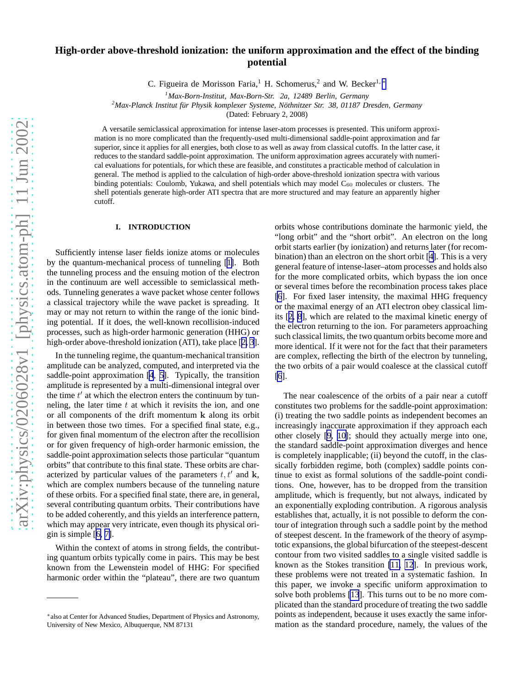# **High-order above-threshold ionization: the uniform approximation and the effect of the binding potential**

C. Figueira de Morisson Faria,<sup>1</sup> H. Schomerus,<sup>2</sup> and W. Becker<sup>1,</sup> \*

<sup>2</sup>Max-Planck Institut für Physik komplexer Systeme, Nöthnitzer Str. 38, 01187 Dresden, Germany

(Dated: February 2, 2008)

A versatile semiclassical approximation for intense laser-atom processes is presented. This uniform approximation is no more complicated than the frequently-used multi-dimensional saddle-point approximation and far superior, since it applies for all energies, both close to as well as away from classical cutoffs. In the latter case, it reduces to the standard saddle-point approximation. The uniform approximation agrees accurately with numerical evaluations for potentials, for which these are feasible, and constitutes a practicable method of calculation in general. The method is applied to the calculation of high-order above-threshold ionization spectra with various binding potentials: Coulomb, Yukawa, and shell potentials which may model C<sub>60</sub> molecules or clusters. The shell potentials generate high-order ATI spectra that are more structured and may feature an apparently higher cutoff.

#### **I. INTRODUCTION**

Sufficiently intense laser fields ionize atoms or molecules by the quantum-mechanical process of tunneling [[1\]](#page-12-0). Both the tunneling process and the ensuing motion of the electron in the continuum are well accessible to semiclassical methods. Tunneling generates a wave packet whose center follows a classical trajectory while the wave packet is spreading. It may or may not return to within the range of the ionic binding potential. If it does, the well-known recollision-induced processes, such as high-order harmonic generation (HHG) or high-order above-threshold ionization (ATI), take place [[2, 3](#page-12-0)].

In the tunneling regime, the quantum-mechanical transition amplitude can be analyzed, computed, and interpreted via the saddle-point approximation [\[4](#page-12-0), [5](#page-12-0)]. Typically, the transition amplitude is represented by a multi-dimensional integral over the time  $t'$  at which the electron enters the continuum by tunneling, the later time  $t$  at which it revisits the ion, and one or all components of the drift momentum k along its orbit in between those two times. For a specified final state, e.g., for given final momentum of the electron after the recollision or for given frequency of high-order harmonic emission, the saddle-point approximation selects those particular "quantum orbits" that contribute to this final state. These orbits are characterized by particular values of the parameters  $t, t'$  and  $k$ , which are complex numbers because of the tunneling nature of these orbits. For a specified final state, there are, in general, several contributing quantum orbits. Their contributions have to be added coherently, and this yields an interference pattern, which may appear very intricate, even though its physical origin is simple [[6, 7\]](#page-12-0).

Within the context of atoms in strong fields, the contributing quantum orbits typically come in pairs. This may be best known from the Lewenstein model of HHG: For specified harmonic order within the "plateau", there are two quantum

orbits whose contributions dominate the harmonic yield, the "long orbit" and the "short orbit". An electron on the long orbit starts earlier (by ionization) and returns later (for recombination) than an electron on the short orbit [[4\]](#page-12-0). This is a very general feature of intense-laser–atom processes and holds also for the more complicated orbits, which bypass the ion once or several times before the recombination process takes place [\[6](#page-12-0)]. For fixed laser intensity, the maximal HHG frequency or the maximal energy of an ATI electron obey classical limits [[2, 8](#page-12-0)], which are related to the maximal kinetic energy of the electron returning to the ion. For parameters approaching such classical limits, the two quantum orbits become more and more identical. If it were not for the fact that their parameters are complex, reflecting the birth of the electron by tunneling, the two orbits of a pair would coalesce at the classical cutoff [\[6](#page-12-0)].

The near coalescence of the orbits of a pair near a cutoff constitutes two problems for the saddle-point approximation: (i) treating the two saddle points as independent becomes an increasingly inaccurate approximation if they approach each other closely [\[9](#page-12-0), [10\]](#page-12-0); should they actually merge into one, the standard saddle-point approximation diverges and hence is completely inapplicable; (ii) beyond the cutoff, in the classically forbidden regime, both (complex) saddle points continue to exist as formal solutions of the saddle-point conditions. One, however, has to be dropped from the transition amplitude, which is frequently, but not always, indicated by an exponentially exploding contribution. A rigorous analysis establishes that, actually, it is not possible to deform the contour of integration through such a saddle point by the method of steepest descent. In the framework of the theory of asymptotic expansions, the global bifurcation of the steepest-descent contour from two visited saddles to a single visited saddle is known as the Stokes transition [\[11, 12\]](#page-12-0). In previous work, these problems were not treated in a systematic fashion. In this paper, we invoke a specific uniform approximation to solve both problems [\[13](#page-12-0)]. This turns out to be no more complicated than the standard procedure of treating the two saddle points as independent, because it uses exactly the same information as the standard procedure, namely, the values of the

*<sup>1</sup>Max-Born-Institut, Max-Born-Str. 2a, 12489 Berlin, Germany*

<sup>∗</sup> also at Center for Advanced Studies, Department of Physics and Astronomy, University of New Mexico, Albuquerque, NM 87131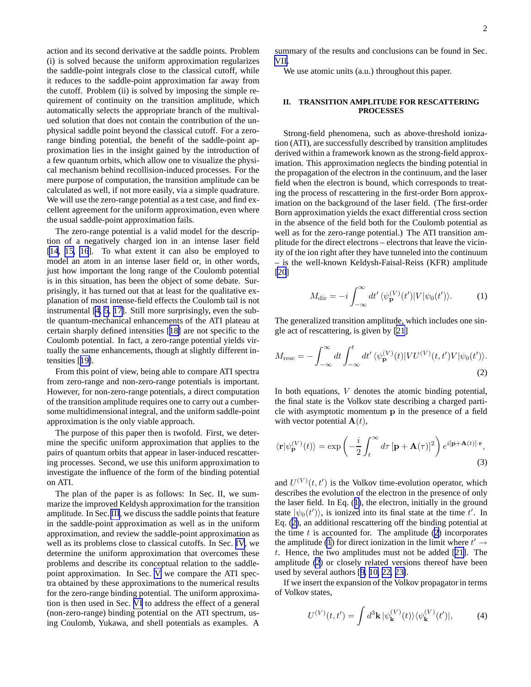<span id="page-1-0"></span>action and its second derivative at the saddle points. Problem (i) is solved because the uniform approximation regularizes the saddle-point integrals close to the classical cutoff, while it reduces to the saddle-point approximation far away from the cutoff. Problem (ii) is solved by imposing the simple requirement of continuity on the transition amplitude, which automatically selects the appropriate branch of the multivalued solution that does not contain the contribution of the unphysical saddle point beyond the classical cutoff. For a zerorange binding potential, the benefit of the saddle-point approximation lies in the insight gained by the introduction of a few quantum orbits, which allow one to visualize the physical mechanism behind recollision-induced processes. For the mere purpose of computation, the transition amplitude can be calculated as well, if not more easily, via a simple quadrature. We will use the zero-range potential as a test case, and find excellent agreement for the uniform approximation, even where the usual saddle-point approximation fails.

The zero-range potential is a valid model for the description of a negatively charged ion in an intense laser field [\[14](#page-12-0), [15, 16](#page-12-0)]. To what extent it can also be employed to model an atom in an intense laser field or, in other words, just how important the long range of the Coulomb potential is in this situation, has been the object of some debate. Surprisingly, it has turned out that at least for the qualitative explanation of most intense-field effects the Coulomb tail is not instrumental [[4, 5](#page-12-0), [17\]](#page-12-0). Still more surprisingly, even the subtle quantum-mechanical enhancements of the ATI plateau at certain sharply defined intensities [[18\]](#page-12-0) are not specific to the Coulomb potential. In fact, a zero-range potential yields virtually the same enhancements, though at slightly different intensities [[19\]](#page-12-0).

From this point of view, being able to compare ATI spectra from zero-range and non-zero-range potentials is important. However, for non-zero-range potentials, a direct computation of the transition amplitude requires one to carry out a cumbersome multidimensional integral, and the uniform saddle-point approximation is the only viable approach.

The purpose of this paper then is twofold. First, we determine the specific uniform approximation that applies to the pairs of quantum orbits that appear in laser-induced rescattering processes. Second, we use this uniform approximation to investigate the influence of the form of the binding potential on ATI.

The plan of the paper is as follows: In Sec. II, we summarize the improved Keldysh approximation for the transition amplitude. In Sec. [III](#page-2-0), we discuss the saddle points that feature in the saddle-point approximation as well as in the uniform approximation, and review the saddle-point approximation as well as its problems close to classical cutoffs. In Sec. [IV](#page-5-0), we determine the uniform approximation that overcomes these problems and describe its conceptual relation to the saddlepoint approximation. In Sec. [V](#page-6-0) we compare the ATI spectra obtained by these approximations to the numerical results for the zero-range binding potential. The uniform approximation is then used in Sec. [VI](#page-7-0) to address the effect of a general (non-zero-range) binding potential on the ATI spectrum, using Coulomb, Yukawa, and shell potentials as examples. A summary of the results and conclusions can be found in Sec. [VII.](#page-11-0)

We use atomic units (a.u.) throughout this paper.

# **II. TRANSITION AMPLITUDE FOR RESCATTERING PROCESSES**

Strong-field phenomena, such as above-threshold ionization (ATI), are successfully described by transition amplitudes derived within a framework known as the strong-field approximation. This approximation neglects the binding potential in the propagation of the electron in the continuum, and the laser field when the electron is bound, which corresponds to treating the process of rescattering in the first-order Born approximation on the background of the laser field. (The first-order Born approximation yields the exact differential cross section in the absence of the field both for the Coulomb potential as well as for the zero-range potential.) The ATI transition amplitude for the direct electrons – electrons that leave the vicinity of the ion right after they have tunneled into the continuum – is the well-known Keldysh-Faisal-Reiss (KFR) amplitude [\[20](#page-12-0)]

$$
M_{\rm dir} = -i \int_{-\infty}^{\infty} dt' \langle \psi_{\mathbf{p}}^{(V)}(t') | V | \psi_0(t') \rangle.
$$
 (1)

The generalized transition amplitude, which includes one single act of rescattering, is given by [\[21](#page-12-0)]

$$
M_{\rm resc} = -\int_{-\infty}^{\infty} dt \int_{-\infty}^{t} dt' \langle \psi_{\mathbf{p}}^{(V)}(t) | V U^{(V)}(t, t') V | \psi_{0}(t') \rangle.
$$
\n(2)

In both equations,  $V$  denotes the atomic binding potential, the final state is the Volkov state describing a charged particle with asymptotic momentum p in the presence of a field with vector potential  $A(t)$ ,

$$
\langle \mathbf{r} | \psi_{\mathbf{p}}^{(V)}(t) \rangle = \exp\left(-\frac{i}{2} \int_{t}^{\infty} d\tau \left[\mathbf{p} + \mathbf{A}(\tau)\right]^{2}\right) e^{i[\mathbf{p} + \mathbf{A}(t)] \cdot \mathbf{r}},
$$
\n(3)

and  $U^{(V)}(t, t')$  is the Volkov time-evolution operator, which describes the evolution of the electron in the presence of only the laser field. In Eq. (1), the electron, initially in the ground state  $|\psi_0(t')\rangle$ , is ionized into its final state at the time t'. In Eq. (2), an additional rescattering off the binding potential at the time  $t$  is accounted for. The amplitude  $(2)$  incorporates the amplitude (1) for direct ionization in the limit where  $t' \rightarrow$ t. Hence, the two amplitudes must not be added [[21\]](#page-12-0). The amplitude (2) or closely related versions thereof have been used by several authors [[9, 10, 22, 23\]](#page-12-0).

If we insert the expansion of the Volkov propagator in terms of Volkov states,

$$
U^{(V)}(t,t') = \int d^3 \mathbf{k} |\psi_{\mathbf{k}}^{(V)}(t)\rangle \langle \psi_{\mathbf{k}}^{(V)}(t')|, \tag{4}
$$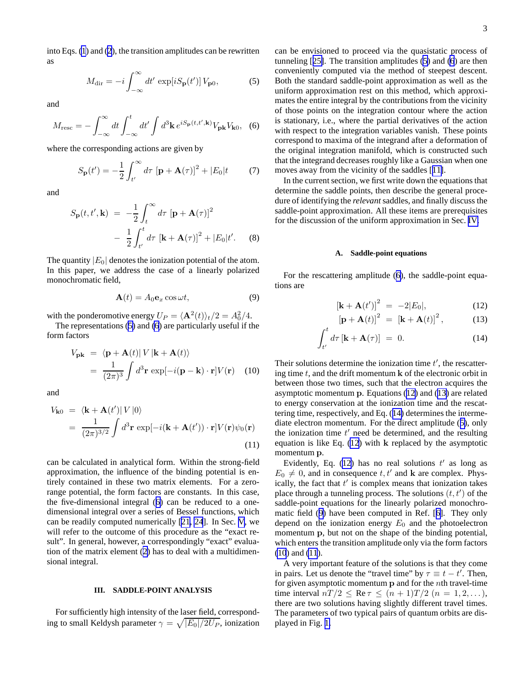<span id="page-2-0"></span>into Eqs. [\(1](#page-1-0)) and [\(2](#page-1-0)), the transition amplitudes can be rewritten as

$$
M_{\rm dir} = -i \int_{-\infty}^{\infty} dt' \, \exp[iS_{\mathbf{p}}(t')] \, V_{\mathbf{p}0},\tag{5}
$$

and

$$
M_{\rm resc} = -\int_{-\infty}^{\infty} dt \int_{-\infty}^{t} dt' \int d^3 \mathbf{k} \, e^{i S_{\mathbf{p}}(t, t', \mathbf{k})} V_{\mathbf{p} \mathbf{k}} V_{\mathbf{k} 0}, \tag{6}
$$

where the corresponding actions are given by

$$
S_{\mathbf{p}}(t') = -\frac{1}{2} \int_{t'}^{\infty} d\tau \left[ \mathbf{p} + \mathbf{A}(\tau) \right]^2 + |E_0|t \tag{7}
$$

and

$$
S_{\mathbf{p}}(t, t', \mathbf{k}) = -\frac{1}{2} \int_{t}^{\infty} d\tau \left[ \mathbf{p} + \mathbf{A}(\tau) \right]^2
$$

$$
- \frac{1}{2} \int_{t'}^{t} d\tau \left[ \mathbf{k} + \mathbf{A}(\tau) \right]^2 + |E_0| t'. \quad (8)
$$

The quantity  $|E_0|$  denotes the ionization potential of the atom. In this paper, we address the case of a linearly polarized monochromatic field,

$$
\mathbf{A}(t) = A_0 \mathbf{e}_x \cos \omega t, \tag{9}
$$

with the ponderomotive energy  $U_P = \langle \mathbf{A}^2(t) \rangle_t/2 = A_0^2/4$ .

The representations (5) and (6) are particularly useful if the form factors

$$
V_{\mathbf{pk}} = \langle \mathbf{p} + \mathbf{A}(t) | V | \mathbf{k} + \mathbf{A}(t) \rangle
$$
  
= 
$$
\frac{1}{(2\pi)^3} \int d^3 \mathbf{r} \exp[-i(\mathbf{p} - \mathbf{k}) \cdot \mathbf{r}] V(\mathbf{r})
$$
 (10)

and

$$
V_{\mathbf{k}0} = \langle \mathbf{k} + \mathbf{A}(t') | V | 0 \rangle
$$
  
= 
$$
\frac{1}{(2\pi)^{3/2}} \int d^3 \mathbf{r} \exp[-i(\mathbf{k} + \mathbf{A}(t')) \cdot \mathbf{r}] V(\mathbf{r}) \psi_0(\mathbf{r})
$$
(11)

can be calculated in analytical form. Within the strong-field approximation, the influence of the binding potential is entirely contained in these two matrix elements. For a zerorange potential, the form factors are constants. In this case, the five-dimensional integral (6) can be reduced to a onedimensional integral over a series of Bessel functions, which can be readily computed numerically [\[21](#page-12-0), [24](#page-13-0)]. In Sec. [V](#page-6-0), we will refer to the outcome of this procedure as the "exact result". In general, however, a correspondingly "exact" evaluation of the matrix element ([2\)](#page-1-0) has to deal with a multidimensional integral.

## **III. SADDLE-POINT ANALYSIS**

For sufficiently high intensity of the laser field, corresponding to small Keldysh parameter  $\gamma = \sqrt{|E_0|/2U_P}$ , ionization can be envisioned to proceed via the quasistatic process of tunneling [[25\]](#page-13-0). The transition amplitudes (5) and (6) are then conveniently computed via the method of steepest descent. Both the standard saddle-point approximation as well as the uniform approximation rest on this method, which approximates the entire integral by the contributions from the vicinity of those points on the integration contour where the action is stationary, i.e., where the partial derivatives of the action with respect to the integration variables vanish. These points correspond to maxima of the integrand after a deformation of the original integration manifold, which is constructed such that the integrand decreases roughly like a Gaussian when one moves away from the vicinity of the saddles [[11\]](#page-12-0).

In the current section, we first write down the equations that determine the saddle points, then describe the general procedure of identifying the *relevant* saddles, and finally discuss the saddle-point approximation. All these items are prerequisites for the discussion of the uniform approximation in Sec. [IV.](#page-5-0)

#### **A. Saddle-point equations**

For the rescattering amplitude (6), the saddle-point equations are

$$
[\mathbf{k} + \mathbf{A}(t')]^2 = -2|E_0|,\tag{12}
$$

$$
\left[\mathbf{p} + \mathbf{A}(t)\right]^2 = \left[\mathbf{k} + \mathbf{A}(t)\right]^2, \tag{13}
$$

$$
\int_{t'}^{t} d\tau \left[ \mathbf{k} + \mathbf{A}(\tau) \right] = 0. \tag{14}
$$

Their solutions determine the ionization time  $t'$ , the rescattering time  $t$ , and the drift momentum  $k$  of the electronic orbit in between those two times, such that the electron acquires the asymptotic momentum p. Equations (12) and (13) are related to energy conservation at the ionization time and the rescattering time, respectively, and Eq. (14) determines the intermediate electron momentum. For the direct amplitude (5), only the ionization time  $t'$  need be determined, and the resulting equation is like Eq. (12) with k replaced by the asymptotic momentum p.

Evidently, Eq. (12) has no real solutions  $t'$  as long as  $E_0 \neq 0$ , and in consequence t, t' and k are complex. Physically, the fact that  $t'$  is complex means that ionization takes place through a tunneling process. The solutions  $(t, t')$  of the saddle-point equations for the linearly polarized monochromatic field (9) have been computed in Ref. [[6\]](#page-12-0). They only depend on the ionization energy  $E_0$  and the photoelectron momentum p, but not on the shape of the binding potential, which enters the transition amplitude only via the form factors (10) and (11).

A very important feature of the solutions is that they come in pairs. Let us denote the "travel time" by  $\tau \equiv t - t'$ . Then, for given asymptotic momentum p and for the nth travel-time time interval  $nT/2 \leq \text{Re } \tau \leq (n+1)T/2$   $(n = 1, 2, \ldots),$ there are two solutions having slightly different travel times. The parameters of two typical pairs of quantum orbits are displayed in Fig. [1.](#page-5-0)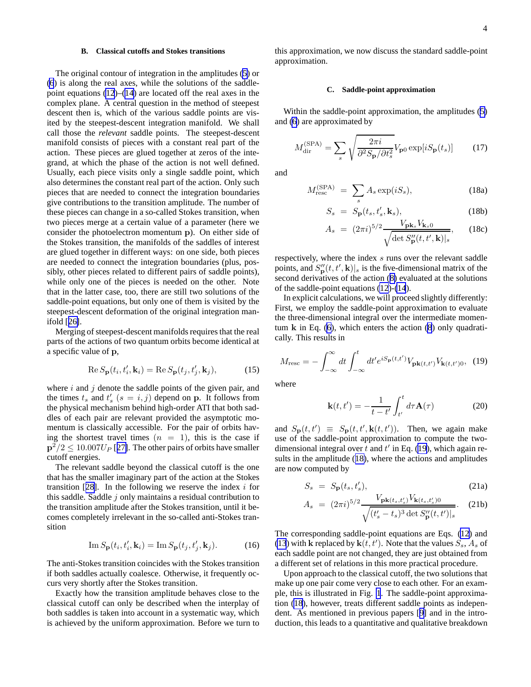#### **B. Classical cutoffs and Stokes transitions**

<span id="page-3-0"></span>The original contour of integration in the amplitudes ([5\)](#page-2-0) or [\(6](#page-2-0)) is along the real axes, while the solutions of the saddlepoint equations  $(12)$  $(12)$ – $(14)$  $(14)$  are located off the real axes in the complex plane. A central question in the method of steepest descent then is, which of the various saddle points are visited by the steepest-descent integration manifold. We shall call those the *relevant* saddle points. The steepest-descent manifold consists of pieces with a constant real part of the action. These pieces are glued together at zeros of the integrand, at which the phase of the action is not well defined. Usually, each piece visits only a single saddle point, which also determines the constant real part of the action. Only such pieces that are needed to connect the integration boundaries give contributions to the transition amplitude. The number of these pieces can change in a so-called Stokes transition, when two pieces merge at a certain value of a parameter (here we consider the photoelectron momentum p). On either side of the Stokes transition, the manifolds of the saddles of interest are glued together in different ways: on one side, both pieces are needed to connect the integration boundaries (plus, possibly, other pieces related to different pairs of saddle points), while only one of the pieces is needed on the other. Note that in the latter case, too, there are still two solutions of the saddle-point equations, but only one of them is visited by the steepest-descent deformation of the original integration manifold [[26\]](#page-13-0).

Merging of steepest-descent manifolds requires that the real parts of the actions of two quantum orbits become identical at a specific value of p,

$$
\operatorname{Re} S_{\mathbf{p}}(t_i, t_i', \mathbf{k}_i) = \operatorname{Re} S_{\mathbf{p}}(t_j, t_j', \mathbf{k}_j),\tag{15}
$$

where  $i$  and  $j$  denote the saddle points of the given pair, and the times  $t_s$  and  $t'_s$   $(s = i, j)$  depend on p. It follows from the physical mechanism behind high-order ATI that both saddles of each pair are relevant provided the asymptotic momentum is classically accessible. For the pair of orbits having the shortest travel times  $(n = 1)$ , this is the case if  $p^2/2 \leq 10.007 U_P$  [[27\]](#page-13-0). The other pairs of orbits have smaller cutoff energies.

The relevant saddle beyond the classical cutoff is the one that has the smaller imaginary part of the action at the Stokes transition  $[28]$  $[28]$ . In the following we reserve the index i for this saddle. Saddle  $j$  only maintains a residual contribution to the transition amplitude after the Stokes transition, until it becomes completely irrelevant in the so-called anti-Stokes transition

$$
\operatorname{Im} S_{\mathbf{p}}(t_i, t_i', \mathbf{k}_i) = \operatorname{Im} S_{\mathbf{p}}(t_j, t_j', \mathbf{k}_j). \tag{16}
$$

The anti-Stokes transition coincides with the Stokes transition if both saddles actually coalesce. Otherwise, it frequently occurs very shortly after the Stokes transition.

Exactly how the transition amplitude behaves close to the classical cutoff can only be described when the interplay of both saddles is taken into account in a systematic way, which is achieved by the uniform approximation. Before we turn to

this approximation, we now discuss the standard saddle-point approximation.

# **C. Saddle-point approximation**

Within the saddle-point approximation, the amplitudes ([5\)](#page-2-0) and [\(6](#page-2-0)) are approximated by

$$
M_{\rm dir}^{\rm (SPA)} = \sum_s \sqrt{\frac{2\pi i}{\partial^2 S_{\mathbf{p}}/\partial t_s^2}} V_{\mathbf{p}0} \exp[iS_{\mathbf{p}}(t_s)] \tag{17}
$$

and

$$
M_{\text{resc}}^{(\text{SPA})} = \sum_{s} A_s \exp(iS_s), \tag{18a}
$$

$$
S_s = S_p(t_s, t'_s, \mathbf{k}_s), \tag{18b}
$$

$$
A_s = (2\pi i)^{5/2} \frac{V_{\mathbf{pk}_s} V_{\mathbf{k}_s 0}}{\sqrt{\det S''_{\mathbf{p}}(t, t', \mathbf{k})|_s}}, \qquad (18c)
$$

respectively, where the index s runs over the relevant saddle points, and  $S_{\bf p}''(t, t', {\bf k})|_s$  is the five-dimensional matrix of the second derivatives of the action ([8\)](#page-2-0) evaluated at the solutions of the saddle-point equations [\(12](#page-2-0))-[\(14](#page-2-0)).

In explicit calculations, we will proceed slightly differently: First, we employ the saddle-point approximation to evaluate the three-dimensional integral over the intermediate momentum  $k$  in Eq. ([6](#page-2-0)), which enters the action  $(8)$  $(8)$  only quadratically. This results in

$$
M_{\rm resc} = -\int_{-\infty}^{\infty} dt \int_{-\infty}^{t} dt' e^{iS_{\mathbf{p}}(t,t')} V_{\mathbf{pk}(t,t')} V_{\mathbf{k}(t,t')0}, \tag{19}
$$

where

$$
\mathbf{k}(t, t') = -\frac{1}{t - t'} \int_{t'}^{t} d\tau \mathbf{A}(\tau)
$$
 (20)

and  $S_{\mathbf{p}}(t, t') \equiv S_{\mathbf{p}}(t, t', \mathbf{k}(t, t'))$ . Then, we again make use of the saddle-point approximation to compute the twodimensional integral over t and t' in Eq. (19), which again results in the amplitude (18), where the actions and amplitudes are now computed by

$$
S_s = S_p(t_s, t'_s), \tag{21a}
$$

$$
A_s = (2\pi i)^{5/2} \frac{V_{\mathbf{pk}(t_s, t'_s)} V_{\mathbf{k}(t_s, t'_s)} \mathbf{0}}{\sqrt{(t'_s - t_s)^3 \det S''_{\mathbf{p}}(t, t')|_s}}.
$$
 (21b)

The corresponding saddle-point equations are Eqs. [\(12](#page-2-0)) and [\(13](#page-2-0)) with **k** replaced by  $\mathbf{k}(t, t')$ . Note that the values  $S_s$ ,  $A_s$  of each saddle point are not changed, they are just obtained from a different set of relations in this more practical procedure.

Upon approach to the classical cutoff, the two solutions that make up one pair come very close to each other. For an example, this is illustrated in Fig. [1](#page-5-0). The saddle-point approximation (18), however, treats different saddle points as independent. As mentioned in previous papers [[9\]](#page-12-0) and in the introduction, this leads to a quantitative and qualitative breakdown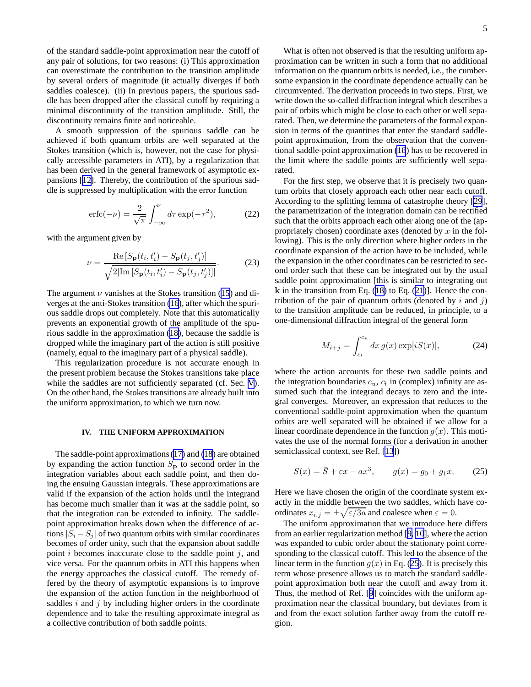<span id="page-4-0"></span>of the standard saddle-point approximation near the cutoff of any pair of solutions, for two reasons: (i) This approximation can overestimate the contribution to the transition amplitude by several orders of magnitude (it actually diverges if both saddles coalesce). (ii) In previous papers, the spurious saddle has been dropped after the classical cutoff by requiring a minimal discontinuity of the transition amplitude. Still, the discontinuity remains finite and noticeable.

A smooth suppression of the spurious saddle can be achieved if both quantum orbits are well separated at the Stokes transition (which is, however, not the case for physically accessible parameters in ATI), by a regularization that has been derived in the general framework of asymptotic expansions [\[12\]](#page-12-0). Thereby, the contribution of the spurious saddle is suppressed by multiplication with the error function

$$
\operatorname{erfc}(-\nu) = \frac{2}{\sqrt{\pi}} \int_{-\infty}^{\nu} d\tau \exp(-\tau^2),\tag{22}
$$

with the argument given by

$$
\nu = \frac{\text{Re}\left[S_{\mathbf{p}}(t_i, t_i') - S_{\mathbf{p}}(t_j, t_j')\right]}{\sqrt{2|\text{Im}\left[S_{\mathbf{p}}(t_i, t_i') - S_{\mathbf{p}}(t_j, t_j')\right]|}}.\tag{23}
$$

The argument  $\nu$  vanishes at the Stokes transition ([15](#page-3-0)) and diverges at the anti-Stokes transition [\(16](#page-3-0)), after which the spurious saddle drops out completely. Note that this automatically prevents an exponential growth of the amplitude of the spurious saddle in the approximation ([18\)](#page-3-0), because the saddle is dropped while the imaginary part of the action is still positive (namely, equal to the imaginary part of a physical saddle).

This regularization procedure is not accurate enough in the present problem because the Stokes transitions take place while the saddles are not sufficiently separated (cf. Sec. [V](#page-6-0)). On the other hand, the Stokes transitions are already built into the uniform approximation, to which we turn now.

#### **IV. THE UNIFORM APPROXIMATION**

The saddle-point approximations [\(17](#page-3-0)) and [\(18](#page-3-0)) are obtained by expanding the action function  $S_p$  to second order in the integration variables about each saddle point, and then doing the ensuing Gaussian integrals. These approximations are valid if the expansion of the action holds until the integrand has become much smaller than it was at the saddle point, so that the integration can be extended to infinity. The saddlepoint approximation breaks down when the difference of actions  $|S_i - S_j|$  of two quantum orbits with similar coordinates becomes of order unity, such that the expansion about saddle point  $i$  becomes inaccurate close to the saddle point  $j$ , and vice versa. For the quantum orbits in ATI this happens when the energy approaches the classical cutoff. The remedy offered by the theory of asymptotic expansions is to improve the expansion of the action function in the neighborhood of saddles  $i$  and  $j$  by including higher orders in the coordinate dependence and to take the resulting approximate integral as a collective contribution of both saddle points.

What is often not observed is that the resulting uniform approximation can be written in such a form that no additional information on the quantum orbits is needed, i.e., the cumbersome expansion in the coordinate dependence actually can be circumvented. The derivation proceeds in two steps. First, we write down the so-called diffraction integral which describes a pair of orbits which might be close to each other or well separated. Then, we determine the parameters of the formal expansion in terms of the quantities that enter the standard saddlepoint approximation, from the observation that the conventional saddle-point approximation [\(18](#page-3-0)) has to be recovered in the limit where the saddle points are sufficiently well separated.

For the first step, we observe that it is precisely two quantum orbits that closely approach each other near each cutoff. According to the splitting lemma of catastrophe theory [\[29](#page-13-0)], the parametrization of the integration domain can be rectified such that the orbits approach each other along one of the (appropriately chosen) coordinate axes (denoted by  $x$  in the following). This is the only direction where higher orders in the coordinate expansion of the action have to be included, while the expansion in the other coordinates can be restricted to second order such that these can be integrated out by the usual saddle point approximation [this is similar to integrating out  $k$  in the transition from Eq. ([18\)](#page-3-0) to Eq. ([21\)](#page-3-0)]. Hence the contribution of the pair of quantum orbits (denoted by  $i$  and  $j$ ) to the transition amplitude can be reduced, in principle, to a one-dimensional diffraction integral of the general form

$$
M_{i+j} = \int_{c_l}^{c_u} dx \, g(x) \exp[iS(x)], \tag{24}
$$

where the action accounts for these two saddle points and the integration boundaries  $c_u$ ,  $c_l$  in (complex) infinity are assumed such that the integrand decays to zero and the integral converges. Moreover, an expression that reduces to the conventional saddle-point approximation when the quantum orbits are well separated will be obtained if we allow for a linear coordinate dependence in the function  $g(x)$ . This motivates the use of the normal forms (for a derivation in another semiclassical context, see Ref. [\[13](#page-12-0)])

$$
S(x) = \overline{S} + \varepsilon x - ax^3, \qquad g(x) = g_0 + g_1 x. \tag{25}
$$

Here we have chosen the origin of the coordinate system exactly in the middle between the two saddles, which have coordinates  $x_{i,j} = \pm \sqrt{\varepsilon/3a}$  and coalesce when  $\varepsilon = 0$ .

The uniform approximation that we introduce here differs from an earlier regularization method [[9, 10](#page-12-0)], where the action was expanded to cubic order about the stationary point corresponding to the classical cutoff. This led to the absence of the linear term in the function  $g(x)$  in Eq. (25). It is precisely this term whose presence allows us to match the standard saddlepoint approximation both near the cutoff and away from it. Thus, the method of Ref. [[9\]](#page-12-0) coincides with the uniform approximation near the classical boundary, but deviates from it and from the exact solution farther away from the cutoff region.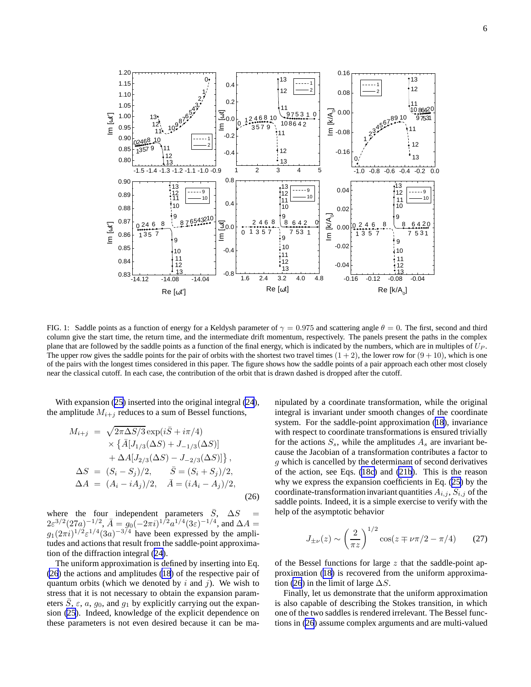<span id="page-5-0"></span>

FIG. 1: Saddle points as a function of energy for a Keldysh parameter of  $\gamma = 0.975$  and scattering angle  $\theta = 0$ . The first, second and third column give the start time, the return time, and the intermediate drift momentum, respectively. The panels present the paths in the complex plane that are followed by the saddle points as a function of the final energy, which is indicated by the numbers, which are in multiples of  $U_P$ . The upper row gives the saddle points for the pair of orbits with the shortest two travel times  $(1 + 2)$ , the lower row for  $(9 + 10)$ , which is one of the pairs with the longest times considered in this paper. The figure shows how the saddle points of a pair approach each other most closely near the classical cutoff. In each case, the contribution of the orbit that is drawn dashed is dropped after the cutoff.

With expansion ([25\)](#page-4-0) inserted into the original integral [\(24](#page-4-0)), the amplitude  $M_{i+j}$  reduces to a sum of Bessel functions,

$$
M_{i+j} = \sqrt{2\pi\Delta S/3} \exp(i\bar{S} + i\pi/4)
$$
  
\n
$$
\times \{\bar{A}[J_{1/3}(\Delta S) + J_{-1/3}(\Delta S)]
$$
  
\n
$$
+ \Delta A[J_{2/3}(\Delta S) - J_{-2/3}(\Delta S)]\},
$$
  
\n
$$
\Delta S = (S_i - S_j)/2, \qquad \bar{S} = (S_i + S_j)/2,
$$
  
\n
$$
\Delta A = (A_i - iA_j)/2, \qquad \bar{A} = (iA_i - A_j)/2,
$$
  
\n(26)

where the four independent parameters  $\overline{S}$ ,  $\Delta S$  =  $2\varepsilon^{3/2} (27a)^{-1/2}$ ,  $\bar{A} = g_0 (-2\pi i)^{1/2} a^{1/4} (3\varepsilon)^{-1/4}$ , and  $\Delta A =$  $g_1(2\pi i)^{1/2} \varepsilon^{1/4} (3a)^{-3/4}$  have been expressed by the amplitudes and actions that result from the saddle-point approximation of the diffraction integral ([24\)](#page-4-0).

The uniform approximation is defined by inserting into Eq. (26) the actions and amplitudes [\(18](#page-3-0)) of the respective pair of quantum orbits (which we denoted by i and j). We wish to stress that it is not necessary to obtain the expansion parameters S,  $\varepsilon$ , a,  $g_0$ , and  $g_1$  by explicitly carrying out the expansion [\(25](#page-4-0)). Indeed, knowledge of the explicit dependence on these parameters is not even desired because it can be ma-

nipulated by a coordinate transformation, while the original integral is invariant under smooth changes of the coordinate system. For the saddle-point approximation [\(18](#page-3-0)), invariance with respect to coordinate transformations is ensured trivially for the actions  $S_s$ , while the amplitudes  $A_s$  are invariant because the Jacobian of a transformation contributes a factor to g which is cancelled by the determinant of second derivatives of the action, see Eqs. [\(18c\)](#page-3-0) and [\(21b](#page-3-0)). This is the reason why we express the expansion coefficients in Eq. ([25](#page-4-0)) by the coordinate-transformation invariant quantities  $A_{i,j}$ ,  $S_{i,j}$  of the saddle points. Indeed, it is a simple exercise to verify with the help of the asymptotic behavior

$$
J_{\pm\nu}(z) \sim \left(\frac{2}{\pi z}\right)^{1/2} \cos(z \mp \nu \pi/2 - \pi/4)
$$
 (27)

of the Bessel functions for large  $z$  that the saddle-point approximation ([18\)](#page-3-0) is recovered from the uniform approximation (26) in the limit of large  $\Delta S$ .

Finally, let us demonstrate that the uniform approximation is also capable of describing the Stokes transition, in which one of the two saddles is rendered irrelevant. The Bessel functions in (26) assume complex arguments and are multi-valued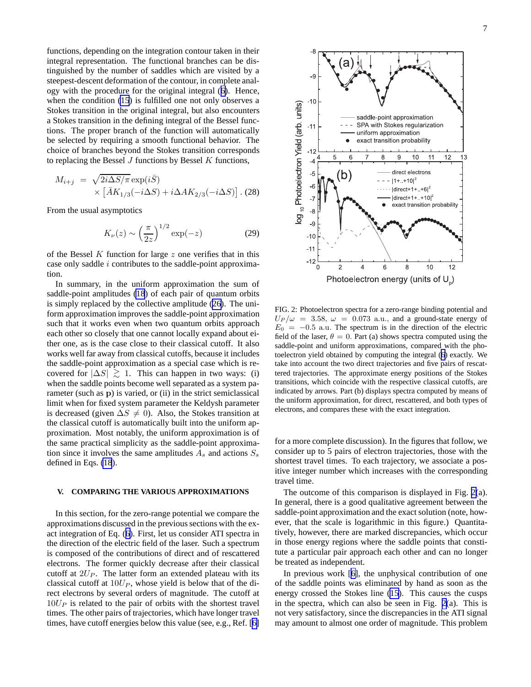<span id="page-6-0"></span>functions, depending on the integration contour taken in their integral representation. The functional branches can be distinguished by the number of saddles which are visited by a steepest-descent deformation of the contour, in complete analogy with the procedure for the original integral ([6\)](#page-2-0). Hence, when the condition [\(15](#page-3-0)) is fulfilled one not only observes a Stokes transition in the original integral, but also encounters a Stokes transition in the defining integral of the Bessel functions. The proper branch of the function will automatically be selected by requiring a smooth functional behavior. The choice of branches beyond the Stokes transition corresponds to replacing the Bessel  $J$  functions by Bessel  $K$  functions,

$$
M_{i+j} = \sqrt{2i\Delta S/\pi} \exp(i\bar{S})
$$
  
 
$$
\times \left[ \bar{A}K_{1/3}(-i\Delta S) + i\Delta A K_{2/3}(-i\Delta S) \right]. (28)
$$

From the usual asymptotics

$$
K_{\nu}(z) \sim \left(\frac{\pi}{2z}\right)^{1/2} \exp(-z)
$$
 (29)

of the Bessel  $K$  function for large  $z$  one verifies that in this case only saddle  $i$  contributes to the saddle-point approximation.

In summary, in the uniform approximation the sum of saddle-point amplitudes [\(18](#page-3-0)) of each pair of quantum orbits is simply replaced by the collective amplitude ([26](#page-5-0)). The uniform approximation improves the saddle-point approximation such that it works even when two quantum orbits approach each other so closely that one cannot locally expand about either one, as is the case close to their classical cutoff. It also works well far away from classical cutoffs, because it includes the saddle-point approximation as a special case which is recovered for  $|\Delta S| \ge 1$ . This can happen in two ways: (i) when the saddle points become well separated as a system parameter (such as p) is varied, or (ii) in the strict semiclassical limit when for fixed system parameter the Keldysh parameter is decreased (given  $\Delta S \neq 0$ ). Also, the Stokes transition at the classical cutoff is automatically built into the uniform approximation. Most notably, the uniform approximation is of the same practical simplicity as the saddle-point approximation since it involves the same amplitudes  $A_s$  and actions  $S_s$ defined in Eqs. [\(18](#page-3-0)).

# **V. COMPARING THE VARIOUS APPROXIMATIONS**

In this section, for the zero-range potential we compare the approximations discussed in the previous sections with the exact integration of Eq. ([6\)](#page-2-0). First, let us consider ATI spectra in the direction of the electric field of the laser. Such a spectrum is composed of the contributions of direct and of rescattered electrons. The former quickly decrease after their classical cutoff at  $2U_P$ . The latter form an extended plateau with its classical cutoff at  $10U_P$ , whose yield is below that of the direct electrons by several orders of magnitude. The cutoff at  $10U<sub>P</sub>$  is related to the pair of orbits with the shortest travel times. The other pairs of trajectories, which have longer travel times, have cutoff energies below this value (see, e.g., Ref. [[6\]](#page-12-0)



FIG. 2: Photoelectron spectra for a zero-range binding potential and  $U_P/\omega$  = 3.58,  $\omega$  = 0.073 a.u., and a ground-state energy of  $E_0 = -0.5$  a.u. The spectrum is in the direction of the electric field of the laser,  $\theta = 0$ . Part (a) shows spectra computed using the saddle-point and uniform approximations, compared with the photoelectron yield obtained by computing the integral ([6](#page-2-0)) exactly. We take into account the two direct trajectories and five pairs of rescattered trajectories. The approximate energy positions of the Stokes transitions, which coincide with the respective classical cutoffs, are indicated by arrows. Part (b) displays spectra computed by means of the uniform approximation, for direct, rescattered, and both types of electrons, and compares these with the exact integration.

for a more complete discussion). In the figures that follow, we consider up to 5 pairs of electron trajectories, those with the shortest travel times. To each trajectory, we associate a positive integer number which increases with the corresponding travel time.

The outcome of this comparison is displayed in Fig. 2(a). In general, there is a good qualitative agreement between the saddle-point approximation and the exact solution (note, however, that the scale is logarithmic in this figure.) Quantitatively, however, there are marked discrepancies, which occur in those energy regions where the saddle points that constitute a particular pair approach each other and can no longer be treated as independent.

In previous work [[6\]](#page-12-0), the unphysical contribution of one of the saddle points was eliminated by hand as soon as the energy crossed the Stokes line ([15\)](#page-3-0). This causes the cusps in the spectra, which can also be seen in Fig. 2(a). This is not very satisfactory, since the discrepancies in the ATI signal may amount to almost one order of magnitude. This problem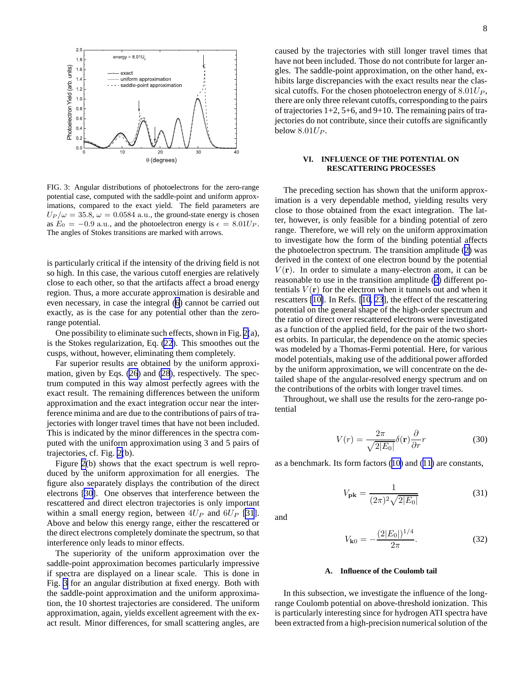<span id="page-7-0"></span>

FIG. 3: Angular distributions of photoelectrons for the zero-range potential case, computed with the saddle-point and uniform approximations, compared to the exact yield. The field parameters are  $U_P/\omega = 35.8, \omega = 0.0584$  a.u., the ground-state energy is chosen as  $E_0 = -0.9$  a.u., and the photoelectron energy is  $\epsilon = 8.01 U_P$ . The angles of Stokes transitions are marked with arrows.

is particularly critical if the intensity of the driving field is not so high. In this case, the various cutoff energies are relatively close to each other, so that the artifacts affect a broad energy region. Thus, a more accurate approximation is desirable and even necessary, in case the integral [\(6](#page-2-0)) cannot be carried out exactly, as is the case for any potential other than the zerorange potential.

One possibility to eliminate such effects, shown in Fig. [2\(](#page-6-0)a), is the Stokes regularization, Eq. [\(22](#page-4-0)). This smoothes out the cusps, without, however, eliminating them completely.

Far superior results are obtained by the uniform approximation, given by Eqs. ([26](#page-5-0)) and [\(28](#page-6-0)), respectively. The spectrum computed in this way almost perfectly agrees with the exact result. The remaining differences between the uniform approximation and the exact integration occur near the interference minima and are due to the contributions of pairs of trajectories with longer travel times that have not been included. This is indicated by the minor differences in the spectra computed with the uniform approximation using 3 and 5 pairs of trajectories, cf. Fig. [2\(](#page-6-0)b).

Figure [2\(](#page-6-0)b) shows that the exact spectrum is well reproduced by the uniform approximation for all energies. The figure also separately displays the contribution of the direct electrons [\[30](#page-13-0)]. One observes that interference between the rescattered and direct electron trajectories is only important within a small energy region, between  $4U_P$  and  $6U_P$  [\[31](#page-13-0)]. Above and below this energy range, either the rescattered or the direct electrons completely dominate the spectrum, so that interference only leads to minor effects.

The superiority of the uniform approximation over the saddle-point approximation becomes particularly impressive if spectra are displayed on a linear scale. This is done in Fig. 3 for an angular distribution at fixed energy. Both with the saddle-point approximation and the uniform approximation, the 10 shortest trajectories are considered. The uniform approximation, again, yields excellent agreement with the exact result. Minor differences, for small scattering angles, are caused by the trajectories with still longer travel times that have not been included. Those do not contribute for larger angles. The saddle-point approximation, on the other hand, exhibits large discrepancies with the exact results near the classical cutoffs. For the chosen photoelectron energy of  $8.01U_P$ , there are only three relevant cutoffs, corresponding to the pairs of trajectories  $1+2$ ,  $5+6$ , and  $9+10$ . The remaining pairs of trajectories do not contribute, since their cutoffs are significantly below  $8.01U_P$ .

# **VI. INFLUENCE OF THE POTENTIAL ON RESCATTERING PROCESSES**

The preceding section has shown that the uniform approximation is a very dependable method, yielding results very close to those obtained from the exact integration. The latter, however, is only feasible for a binding potential of zero range. Therefore, we will rely on the uniform approximation to investigate how the form of the binding potential affects the photoelectron spectrum. The transition amplitude ([2\)](#page-1-0) was derived in the context of one electron bound by the potential  $V(\mathbf{r})$ . In order to simulate a many-electron atom, it can be reasonable to use in the transition amplitude ([2\)](#page-1-0) different potentials  $V(\mathbf{r})$  for the electron when it tunnels out and when it rescatters [\[10\]](#page-12-0). In Refs. [\[10](#page-12-0), [23](#page-12-0)], the effect of the rescattering potential on the general shape of the high-order spectrum and the ratio of direct over rescattered electrons were investigated as a function of the applied field, for the pair of the two shortest orbits. In particular, the dependence on the atomic species was modeled by a Thomas-Fermi potential. Here, for various model potentials, making use of the additional power afforded by the uniform approximation, we will concentrate on the detailed shape of the angular-resolved energy spectrum and on the contributions of the orbits with longer travel times.

Throughout, we shall use the results for the zero-range potential

$$
V(r) = \frac{2\pi}{\sqrt{2|E_0|}} \delta(\mathbf{r}) \frac{\partial}{\partial r} r
$$
 (30)

as a benchmark. Its form factors ([10\)](#page-2-0) and ([11\)](#page-2-0) are constants,

$$
V_{\mathbf{pk}} = \frac{1}{(2\pi)^2 \sqrt{2|E_0|}}\tag{31}
$$

and

$$
V_{\mathbf{k}0} = -\frac{(2|E_0|)^{1/4}}{2\pi}.
$$
 (32)

# **A. Influence of the Coulomb tail**

In this subsection, we investigate the influence of the longrange Coulomb potential on above-threshold ionization. This is particularly interesting since for hydrogen ATI spectra have been extracted from a high-precision numerical solution of the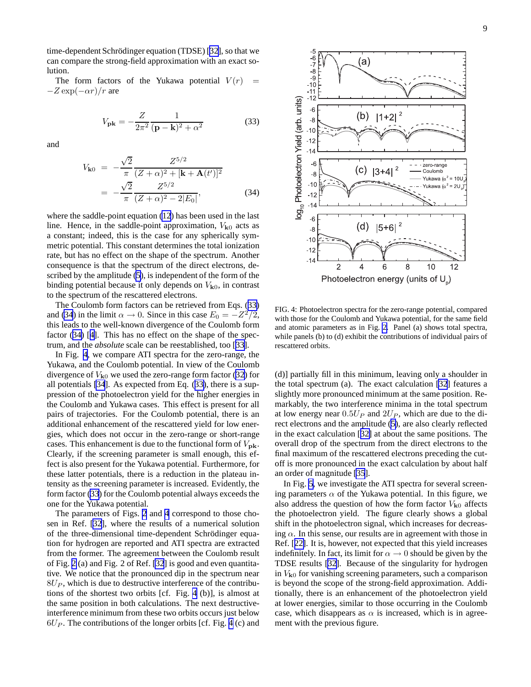<span id="page-8-0"></span>time-dependent Schrödinger equation (TDSE) [[32\]](#page-13-0), so that we can compare the strong-field approximation with an exact solution.

The form factors of the Yukawa potential  $V(r)$  =  $-Z \exp(-\alpha r)/r$  are

$$
V_{\mathbf{pk}} = -\frac{Z}{2\pi^2} \frac{1}{(\mathbf{p} - \mathbf{k})^2 + \alpha^2}
$$
(33)

and

$$
V_{\mathbf{k}0} = -\frac{\sqrt{2}}{\pi} \frac{Z^{5/2}}{(Z+\alpha)^2 + [\mathbf{k} + \mathbf{A}(t')]^2}
$$
  
= 
$$
-\frac{\sqrt{2}}{\pi} \frac{Z^{5/2}}{(Z+\alpha)^2 - 2|E_0|},
$$
(34)

where the saddle-point equation [\(12](#page-2-0)) has been used in the last line. Hence, in the saddle-point approximation,  $V_{k0}$  acts as a constant; indeed, this is the case for any spherically symmetric potential. This constant determines the total ionization rate, but has no effect on the shape of the spectrum. Another consequence is that the spectrum of the direct electrons, described by the amplitude [\(5](#page-2-0)), is independent of the form of the binding potential because it only depends on  $V_{k0}$ , in contrast to the spectrum of the rescattered electrons.

The Coulomb form factors can be retrieved from Eqs. (33) and (34) in the limit  $\alpha \to 0$ . Since in this case  $E_0 = -Z^2/2$ , this leads to the well-known divergence of the Coulomb form factor (34) [[4\]](#page-12-0). This has no effect on the shape of the spectrum, and the *absolute* scale can be reestablished, too [[33\]](#page-13-0).

In Fig. 4, we compare ATI spectra for the zero-range, the Yukawa, and the Coulomb potential. In view of the Coulomb divergence of  $V_{k0}$  we used the zero-range form factor ([32\)](#page-7-0) for all potentials [\[34](#page-13-0)]. As expected from Eq. (33), there is a suppression of the photoelectron yield for the higher energies in the Coulomb and Yukawa cases. This effect is present for all pairs of trajectories. For the Coulomb potential, there is an additional enhancement of the rescattered yield for low energies, which does not occur in the zero-range or short-range cases. This enhancement is due to the functional form of  $V_{\text{pk}}$ . Clearly, if the screening parameter is small enough, this effect is also present for the Yukawa potential. Furthermore, for these latter potentials, there is a reduction in the plateau intensity as the screening parameter is increased. Evidently, the form factor (33) for the Coulomb potential always exceeds the one for the Yukawa potential.

The parameters of Figs. [2](#page-6-0) and 4 correspond to those chosen in Ref. [\[32](#page-13-0)], where the results of a numerical solution of the three-dimensional time-dependent Schrödinger equation for hydrogen are reported and ATI spectra are extracted from the former. The agreement between the Coulomb result of Fig. [2](#page-6-0) (a) and Fig. 2 of Ref. [\[32](#page-13-0)] is good and even quantitative. We notice that the pronounced dip in the spectrum near  $8U<sub>P</sub>$ , which is due to destructive interference of the contributions of the shortest two orbits [cf. Fig. 4 (b)], is almost at the same position in both calculations. The next destructiveinterference minimum from these two orbits occurs just below  $6U<sub>P</sub>$ . The contributions of the longer orbits [cf. Fig. 4 (c) and



FIG. 4: Photoelectron spectra for the zero-range potential, compared with those for the Coulomb and Yukawa potential, for the same field and atomic parameters as in Fig. [2.](#page-6-0) Panel (a) shows total spectra, while panels (b) to (d) exhibit the contributions of individual pairs of rescattered orbits.

(d)] partially fill in this minimum, leaving only a shoulder in the total spectrum (a). The exact calculation [\[32](#page-13-0)] features a slightly more pronounced minimum at the same position. Remarkably, the two interference minima in the total spectrum at low energy near  $0.5U_P$  and  $2U_P$ , which are due to the direct electrons and the amplitude ([5](#page-2-0)), are also clearly reflected in the exact calculation [[32\]](#page-13-0) at about the same positions. The overall drop of the spectrum from the direct electrons to the final maximum of the rescattered electrons preceding the cutoff is more pronounced in the exact calculation by about half an order of magnitude [\[35](#page-13-0)].

In Fig. [5](#page-9-0), we investigate the ATI spectra for several screening parameters  $\alpha$  of the Yukawa potential. In this figure, we also address the question of how the form factor  $V_{k0}$  affects the photoelectron yield. The figure clearly shows a global shift in the photoelectron signal, which increases for decreasing  $\alpha$ . In this sense, our results are in agreement with those in Ref. [[22\]](#page-12-0). It is, however, not expected that this yield increases indefinitely. In fact, its limit for  $\alpha \rightarrow 0$  should be given by the TDSE results [\[32\]](#page-13-0). Because of the singularity for hydrogen in  $V_{k0}$  for vanishing screening parameters, such a comparison is beyond the scope of the strong-field approximation. Additionally, there is an enhancement of the photoelectron yield at lower energies, similar to those occurring in the Coulomb case, which disappears as  $\alpha$  is increased, which is in agreement with the previous figure.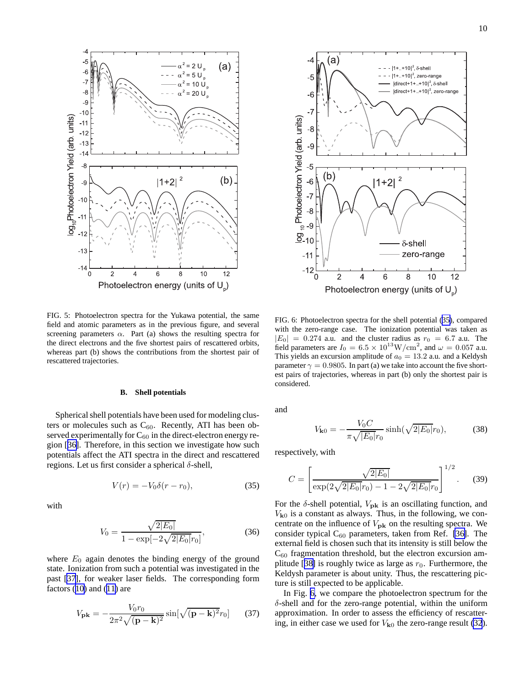<span id="page-9-0"></span>

FIG. 5: Photoelectron spectra for the Yukawa potential, the same field and atomic parameters as in the previous figure, and several screening parameters  $\alpha$ . Part (a) shows the resulting spectra for the direct electrons and the five shortest pairs of rescattered orbits, whereas part (b) shows the contributions from the shortest pair of rescattered trajectories.

# **B. Shell potentials**

Spherical shell potentials have been used for modeling clusters or molecules such as  $C_{60}$ . Recently, ATI has been observed experimentally for  $C_{60}$  in the direct-electron energy region [[36\]](#page-13-0). Therefore, in this section we investigate how such potentials affect the ATI spectra in the direct and rescattered regions. Let us first consider a spherical δ-shell,

$$
V(r) = -V_0 \delta(r - r_0),\tag{35}
$$

with

$$
V_0 = \frac{\sqrt{2|E_0|}}{1 - \exp[-2\sqrt{2|E_0|}r_0]},
$$
\n(36)

where  $E_0$  again denotes the binding energy of the ground state. Ionization from such a potential was investigated in the past [\[37](#page-13-0)], for weaker laser fields. The corresponding form factors  $(10)$  $(10)$  and  $(11)$  $(11)$  are

$$
V_{\mathbf{pk}} = -\frac{V_0 r_0}{2\pi^2 \sqrt{(\mathbf{p} - \mathbf{k})^2}} \sin[\sqrt{(\mathbf{p} - \mathbf{k})^2} r_0] \qquad (37)
$$



FIG. 6: Photoelectron spectra for the shell potential (35), compared with the zero-range case. The ionization potential was taken as  $|E_0| = 0.274$  a.u. and the cluster radius as  $r_0 = 6.7$  a.u. The field parameters are  $I_0 = 6.5 \times 10^{13} \text{W/cm}^2$ , and  $\omega = 0.057$  a.u. This yields an excursion amplitude of  $a_0 = 13.2$  a.u. and a Keldysh parameter  $\gamma = 0.9805$ . In part (a) we take into account the five shortest pairs of trajectories, whereas in part (b) only the shortest pair is considered.

and

$$
V_{\mathbf{k}0} = -\frac{V_0 C}{\pi \sqrt{|E_0|} r_0} \sinh(\sqrt{2|E_0|} r_0),\tag{38}
$$

respectively, with

$$
C = \left[ \frac{\sqrt{2|E_0|}}{\exp(2\sqrt{2|E_0|}r_0) - 1 - 2\sqrt{2|E_0|}r_0} \right]^{1/2}.
$$
 (39)

For the  $\delta$ -shell potential,  $V_{\rm pk}$  is an oscillating function, and  $V_{k0}$  is a constant as always. Thus, in the following, we concentrate on the influence of  $V_{\rm pk}$  on the resulting spectra. We consider typical  $C_{60}$  parameters, taken from Ref. [\[36\]](#page-13-0). The external field is chosen such that its intensity is still below the  $C_{60}$  fragmentation threshold, but the electron excursion am-plitude [[38\]](#page-13-0) is roughly twice as large as  $r_0$ . Furthermore, the Keldysh parameter is about unity. Thus, the rescattering picture is still expected to be applicable.

In Fig. 6, we compare the photoelectron spectrum for the δ-shell and for the zero-range potential, within the uniform approximation. In order to assess the efficiency of rescattering, in either case we used for  $V_{k0}$  the zero-range result [\(32](#page-7-0)).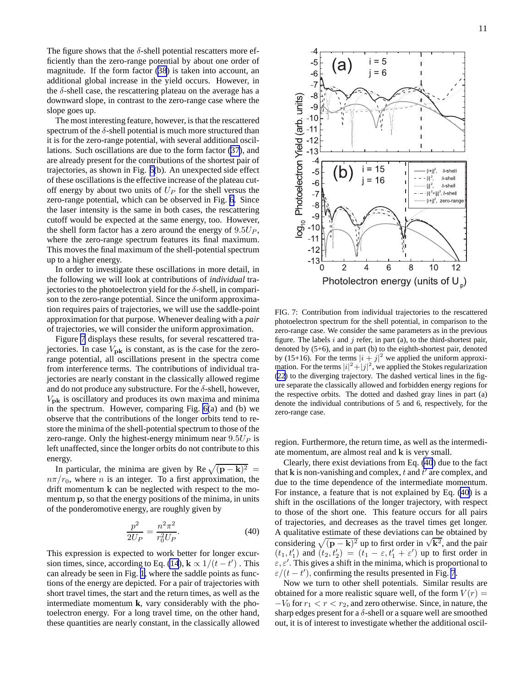The figure shows that the  $\delta$ -shell potential rescatters more efficiently than the zero-range potential by about one order of magnitude. If the form factor [\(38](#page-9-0)) is taken into account, an additional global increase in the yield occurs. However, in the  $\delta$ -shell case, the rescattering plateau on the average has a downward slope, in contrast to the zero-range case where the slope goes up.

The most interesting feature, however, is that the rescattered spectrum of the  $\delta$ -shell potential is much more structured than it is for the zero-range potential, with several additional oscillations. Such oscillations are due to the form factor [\(37](#page-9-0)), and are already present for the contributions of the shortest pair of trajectories, as shown in Fig. [6\(](#page-9-0)b). An unexpected side effect of these oscillations is the effective increase of the plateau cutoff energy by about two units of  $U_P$  for the shell versus the zero-range potential, which can be observed in Fig. [6.](#page-9-0) Since the laser intensity is the same in both cases, the rescattering cutoff would be expected at the same energy, too. However, the shell form factor has a zero around the energy of  $9.5U_P$ , where the zero-range spectrum features its final maximum. This moves the final maximum of the shell-potential spectrum up to a higher energy.

In order to investigate these oscillations in more detail, in the following we will look at contributions of *individual* trajectories to the photoelectron yield for the  $\delta$ -shell, in comparison to the zero-range potential. Since the uniform approximation requires pairs of trajectories, we will use the saddle-point approximation for that purpose. Whenever dealing with a *pair* of trajectories, we will consider the uniform approximation.

Figure 7 displays these results, for several rescattered trajectories. In case  $V_{\text{pk}}$  is constant, as is the case for the zerorange potential, all oscillations present in the spectra come from interference terms. The contributions of individual trajectories are nearly constant in the classically allowed regime and do not produce any substructure. For the  $\delta$ -shell, however,  $V_{\rm pk}$  is oscillatory and produces its own maxima and minima in the spectrum. However, comparing Fig. [6\(](#page-9-0)a) and (b) we observe that the contributions of the longer orbits tend to restore the minima of the shell-potential spectrum to those of the zero-range. Only the highest-energy minimum near  $9.5U<sub>P</sub>$  is left unaffected, since the longer orbits do not contribute to this energy.

In particular, the minima are given by Re  $\sqrt{(p-k)^2}$  =  $n\pi/r_0$ , where *n* is an integer. To a first approximation, the drift momentum k can be neglected with respect to the momentum p, so that the energy positions of the minima, in units of the ponderomotive energy, are roughly given by

$$
\frac{p^2}{2U_P} = \frac{n^2 \pi^2}{r_0^2 U_P}.
$$
\n(40)

This expression is expected to work better for longer excur-sion times, since, according to Eq. [\(14](#page-2-0)),  $\mathbf{k} \propto 1/(t-t')$ . This can already be seen in Fig. [1,](#page-5-0) where the saddle points as functions of the energy are depicted. For a pair of trajectories with short travel times, the start and the return times, as well as the intermediate momentum **k**, vary considerably with the photoelectron energy. For a long travel time, on the other hand, these quantities are nearly constant, in the classically allowed



FIG. 7: Contribution from individual trajectories to the rescattered photoelectron spectrum for the shell potential, in comparison to the zero-range case. We consider the same parameters as in the previous figure. The labels  $i$  and  $j$  refer, in part (a), to the third-shortest pair, denoted by (5+6), and in part (b) to the eighth-shortest pair, denoted by (15+16). For the terms  $|i + j|^2$  we applied the uniform approximation. For the terms  $|i|^2 + |j|^2$ , we applied the Stokes regularization [\(22\)](#page-4-0) to the diverging trajectory. The dashed vertical lines in the figure separate the classically allowed and forbidden energy regions for the respective orbits. The dotted and dashed gray lines in part (a) denote the individual contributions of 5 and 6, respectively, for the zero-range case.

region. Furthermore, the return time, as well as the intermediate momentum, are almost real and k is very small.

Clearly, there exist deviations from Eq. (40) due to the fact that **k** is non-vanishing and complex, t and  $t'$  are complex, and due to the time dependence of the intermediate momentum. For instance, a feature that is not explained by Eq. (40) is a shift in the oscillations of the longer trajectory, with respect to those of the short one. This feature occurs for all pairs of trajectories, and decreases as the travel times get longer. A qualitative estimate of these deviations can be obtained by considering  $\sqrt{(\mathbf{p} - \mathbf{k})^2}$  up to first order in  $\sqrt{\mathbf{k}^2}$ , and the pair  $(t_1, t'_1)$  and  $(t_2, t'_2) = (t_1 - \varepsilon, t'_1 + \varepsilon')$  up to first order in  $\varepsilon, \varepsilon'$ . This gives a shift in the minima, which is proportional to  $\varepsilon/(t-t')$ , confirming the results presented in Fig. 7.

Now we turn to other shell potentials. Similar results are obtained for a more realistic square well, of the form  $V(r) =$  $-V_0$  for  $r_1 < r < r_2$ , and zero otherwise. Since, in nature, the sharp edges present for a  $\delta$ -shell or a square well are smoothed out, it is of interest to investigate whether the additional oscil-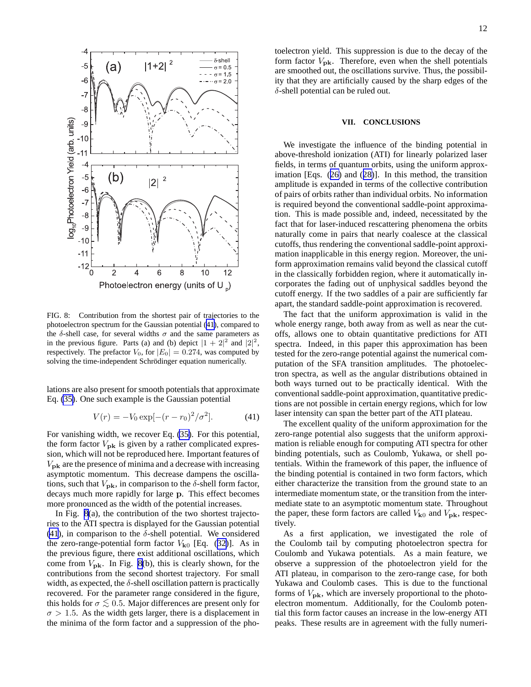<span id="page-11-0"></span>

FIG. 8: Contribution from the shortest pair of trajectories to the photoelectron spectrum for the Gaussian potential (41), compared to the  $\delta$ -shell case, for several widths  $\sigma$  and the same parameters as in the previous figure. Parts (a) and (b) depict  $|1 + 2|^2$  and  $|2|^2$ , respectively. The prefactor  $V_0$ , for  $|E_0| = 0.274$ , was computed by solving the time-independent Schrödinger equation numerically.

lations are also present for smooth potentials that approximate Eq. [\(35\)](#page-9-0). One such example is the Gaussian potential

$$
V(r) = -V_0 \exp[-(r - r_0)^2/\sigma^2].
$$
 (41)

For vanishing width, we recover Eq. [\(35\)](#page-9-0). For this potential, the form factor  $V_{\rm pk}$  is given by a rather complicated expression, which will not be reproduced here. Important features of  $V_{\rm pk}$  are the presence of minima and a decrease with increasing asymptotic momentum. This decrease dampens the oscillations, such that  $V_{\rm pk}$ , in comparison to the  $\delta$ -shell form factor, decays much more rapidly for large p. This effect becomes more pronounced as the width of the potential increases.

In Fig. 8(a), the contribution of the two shortest trajectories to the ATI spectra is displayed for the Gaussian potential (41), in comparison to the  $\delta$ -shell potential. We considered the zero-range-potential form factor  $V_{k0}$  [Eq. ([32\)](#page-7-0)]. As in the previous figure, there exist additional oscillations, which come from  $V_{\text{pk}}$ . In Fig. 8(b), this is clearly shown, for the contributions from the second shortest trajectory. For small width, as expected, the  $\delta$ -shell oscillation pattern is practically recovered. For the parameter range considered in the figure, this holds for  $\sigma \lesssim 0.5$ . Major differences are present only for  $\sigma > 1.5$ . As the width gets larger, there is a displacement in the minima of the form factor and a suppression of the pho-

## **VII. CONCLUSIONS**

We investigate the influence of the binding potential in above-threshold ionization (ATI) for linearly polarized laser fields, in terms of quantum orbits, using the uniform approximation [Eqs. ([26\)](#page-5-0) and ([28\)](#page-6-0)]. In this method, the transition amplitude is expanded in terms of the collective contribution of pairs of orbits rather than individual orbits. No information is required beyond the conventional saddle-point approximation. This is made possible and, indeed, necessitated by the fact that for laser-induced rescattering phenomena the orbits naturally come in pairs that nearly coalesce at the classical cutoffs, thus rendering the conventional saddle-point approximation inapplicable in this energy region. Moreover, the uniform approximation remains valid beyond the classical cutoff in the classically forbidden region, where it automatically incorporates the fading out of unphysical saddles beyond the cutoff energy. If the two saddles of a pair are sufficiently far apart, the standard saddle-point approximation is recovered.

The fact that the uniform approximation is valid in the whole energy range, both away from as well as near the cutoffs, allows one to obtain quantitative predictions for ATI spectra. Indeed, in this paper this approximation has been tested for the zero-range potential against the numerical computation of the SFA transition amplitudes. The photoelectron spectra, as well as the angular distributions obtained in both ways turned out to be practically identical. With the conventional saddle-point approximation, quantitative predictions are not possible in certain energy regions, which for low laser intensity can span the better part of the ATI plateau.

The excellent quality of the uniform approximation for the zero-range potential also suggests that the uniform approximation is reliable enough for computing ATI spectra for other binding potentials, such as Coulomb, Yukawa, or shell potentials. Within the framework of this paper, the influence of the binding potential is contained in two form factors, which either characterize the transition from the ground state to an intermediate momentum state, or the transition from the intermediate state to an asymptotic momentum state. Throughout the paper, these form factors are called  $V_{k0}$  and  $V_{pk}$ , respectively.

As a first application, we investigated the role of the Coulomb tail by computing photoelectron spectra for Coulomb and Yukawa potentials. As a main feature, we observe a suppression of the photoelectron yield for the ATI plateau, in comparison to the zero-range case, for both Yukawa and Coulomb cases. This is due to the functional forms of  $V_{\text{pk}}$ , which are inversely proportional to the photoelectron momentum. Additionally, for the Coulomb potential this form factor causes an increase in the low-energy ATI peaks. These results are in agreement with the fully numeri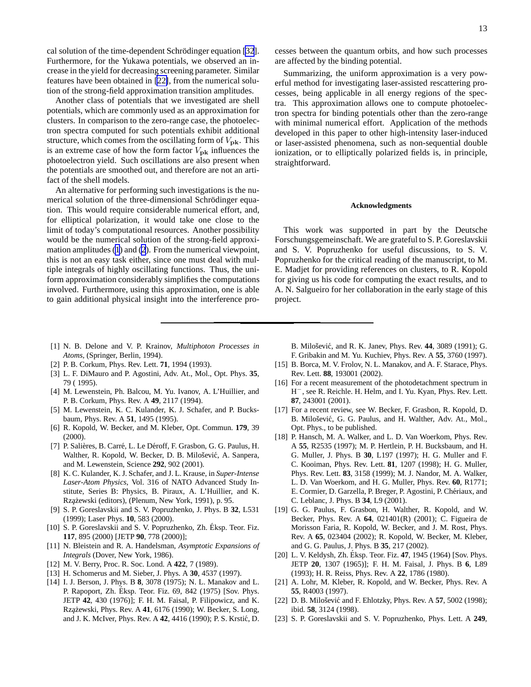<span id="page-12-0"></span>cal solution of the time-dependent Schrödinger equation [\[32](#page-13-0)]. Furthermore, for the Yukawa potentials, we observed an increase in the yield for decreasing screening parameter. Similar features have been obtained in [22], from the numerical solution of the strong-field approximation transition amplitudes.

Another class of potentials that we investigated are shell potentials, which are commonly used as an approximation for clusters. In comparison to the zero-range case, the photoelectron spectra computed for such potentials exhibit additional structure, which comes from the oscillating form of  $V_{\text{pk}}$ . This is an extreme case of how the form factor  $V_{\text{pk}}$  influences the photoelectron yield. Such oscillations are also present when the potentials are smoothed out, and therefore are not an artifact of the shell models.

An alternative for performing such investigations is the numerical solution of the three-dimensional Schrödinger equation. This would require considerable numerical effort, and, for elliptical polarization, it would take one close to the limit of today's computational resources. Another possibility would be the numerical solution of the strong-field approximation amplitudes [\(1](#page-1-0)) and [\(2](#page-1-0)). From the numerical viewpoint, this is not an easy task either, since one must deal with multiple integrals of highly oscillating functions. Thus, the uniform approximation considerably simplifies the computations involved. Furthermore, using this approximation, one is able to gain additional physical insight into the interference processes between the quantum orbits, and how such processes are affected by the binding potential.

Summarizing, the uniform approximation is a very powerful method for investigating laser-assisted rescattering processes, being applicable in all energy regions of the spectra. This approximation allows one to compute photoelectron spectra for binding potentials other than the zero-range with minimal numerical effort. Application of the methods developed in this paper to other high-intensity laser-induced or laser-assisted phenomena, such as non-sequential double ionization, or to elliptically polarized fields is, in principle, straightforward.

# **Acknowledgments**

This work was supported in part by the Deutsche Forschungsgemeinschaft. We are grateful to S. P. Goreslavskii and S. V. Popruzhenko for useful discussions, to S. V. Popruzhenko for the critical reading of the manuscript, to M. E. Madjet for providing references on clusters, to R. Kopold for giving us his code for computing the exact results, and to A. N. Salgueiro for her collaboration in the early stage of this project.

- [1] N. B. Delone and V. P. Krainov, *Multiphoton Processes in Atoms*, (Springer, Berlin, 1994).
- [2] P. B. Corkum, Phys. Rev. Lett. **71**, 1994 (1993).
- [3] L. F. DiMauro and P. Agostini, Adv. At., Mol., Opt. Phys. **35**, 79 ( 1995).
- [4] M. Lewenstein, Ph. Balcou, M. Yu. Ivanov, A. L'Huillier, and P. B. Corkum, Phys. Rev. A **49**, 2117 (1994).
- [5] M. Lewenstein, K. C. Kulander, K. J. Schafer, and P. Bucksbaum, Phys. Rev. A **51**, 1495 (1995).
- [6] R. Kopold, W. Becker, and M. Kleber, Opt. Commun. **179**, 39 (2000).
- [7] P. Salières, B. Carré, L. Le Déroff, F. Grasbon, G. G. Paulus, H. Walther, R. Kopold, W. Becker, D. B. Milošević, A. Sanpera, and M. Lewenstein, Science **292**, 902 (2001).
- [8] K. C. Kulander, K. J. Schafer, and J. L. Krause, in *Super-Intense Laser-Atom Physics*, Vol. 316 of NATO Advanced Study Institute, Series B: Physics, B. Piraux, A. L'Huillier, and K. Rzążewski (editors), (Plenum, New York, 1991), p. 95.
- [9] S. P. Goreslavskii and S. V. Popruzhenko, J. Phys. B **32**, L531 (1999); Laser Phys. **10**, 583 (2000).
- [10] S. P. Goreslavskii and S. V. Popruzhenko, Zh. Éksp. Teor. Fiz. **117**, 895 (2000) [JETP **90**, 778 (2000)];
- [11] N. Bleistein and R. A. Handelsman, *Asymptotic Expansions of Integrals* (Dover, New York, 1986).
- [12] M. V. Berry, Proc. R. Soc. Lond. A **422**, 7 (1989).
- [13] H. Schomerus and M. Sieber, J. Phys. A **30**, 4537 (1997).
- [14] I. J. Berson, J. Phys. B **8**, 3078 (1975); N. L. Manakov and L. P. Rapoport, Zh. Eksp. Teor. Fiz. 69, 842 (1975) [Sov. Phys. ´ JETP **42**, 430 (1976)]; F. H. M. Faisal, P. Filipowicz, and K. Rzążewski, Phys. Rev. A 41, 6176 (1990); W. Becker, S. Long, and J. K. McIver, Phys. Rev. A 42, 4416 (1990); P. S. Krstić, D.

B. Miloˇsevi´c, and R. K. Janev, Phys. Rev. **44**, 3089 (1991); G. F. Gribakin and M. Yu. Kuchiev, Phys. Rev. A **55**, 3760 (1997).

- [15] B. Borca, M. V. Frolov, N. L. Manakov, and A. F. Starace, Phys. Rev. Lett. **88**, 193001 (2002).
- [16] For a recent measurement of the photodetachment spectrum in H <sup>−</sup>, see R. Reichle. H. Helm, and I. Yu. Kyan, Phys. Rev. Lett. **87**, 243001 (2001).
- [17] For a recent review, see W. Becker, F. Grasbon, R. Kopold, D. B. Milošević, G. G. Paulus, and H. Walther, Adv. At., Mol., Opt. Phys., to be published.
- [18] P. Hansch, M. A. Walker, and L. D. Van Woerkom, Phys. Rev. A **55**, R2535 (1997); M. P. Hertlein, P. H. Bucksbaum, and H. G. Muller, J. Phys. B **30**, L197 (1997); H. G. Muller and F. C. Kooiman, Phys. Rev. Lett. **81**, 1207 (1998); H. G. Muller, Phys. Rev. Lett. **83**, 3158 (1999); M. J. Nandor, M. A. Walker, L. D. Van Woerkom, and H. G. Muller, Phys. Rev. **60**, R1771; E. Cormier, D. Garzella, P. Breger, P. Agostini, P. Chériaux, and C. Leblanc, J. Phys. B **34**, L9 (2001).
- [19] G. G. Paulus, F. Grasbon, H. Walther, R. Kopold, and W. Becker, Phys. Rev. A **64**, 021401(R) (2001); C. Figueira de Morisson Faria, R. Kopold, W. Becker, and J. M. Rost, Phys. Rev. A **65**, 023404 (2002); R. Kopold, W. Becker, M. Kleber, and G. G. Paulus, J. Phys. B **35**, 217 (2002).
- [20] L. V. Keldysh, Zh. Éksp. Teor. Fiz. 47, 1945 (1964) [Sov. Phys. JETP **20**, 1307 (1965)]; F. H. M. Faisal, J. Phys. B **6**, L89 (1993); H. R. Reiss, Phys. Rev. A **22**, 1786 (1980).
- [21] A. Lohr, M. Kleber, R. Kopold, and W. Becker, Phys. Rev. A **55**, R4003 (1997).
- [22] D. B. Milošević and F. Ehlotzky, Phys. Rev. A **57**, 5002 (1998); ibid. **58**, 3124 (1998).
- [23] S. P. Goreslavskii and S. V. Popruzhenko, Phys. Lett. A **249**,